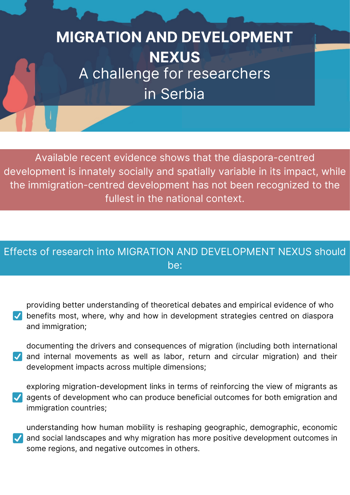## **MIGRATION AND DEVELOPMENT NEXUS** A challenge for researchers in Serbia

Available recent evidence shows that the diaspora-centred development is innately socially and spatially variable in its impact, while the immigration-centred development has not been recognized to the fullest in the national context.

## Effects of research into MIGRATION AND DEVELOPMENT NEXUS should be:

providing better understanding of theoretical debates and empirical evidence of who  $\vee$  benefits most, where, why and how in development strategies centred on diaspora and immigration;

documenting the drivers and consequences of migration (including both international and internal movements as well as labor, return and circular migration) and their development impacts across multiple dimensions;

exploring migration-development links in terms of reinforcing the view of migrants as agents of development who can produce beneficial outcomes for both emigration and immigration countries;

understanding how human mobility is reshaping geographic, demographic, economic and social landscapes and why migration has more positive development outcomes in some regions, and negative outcomes in others.